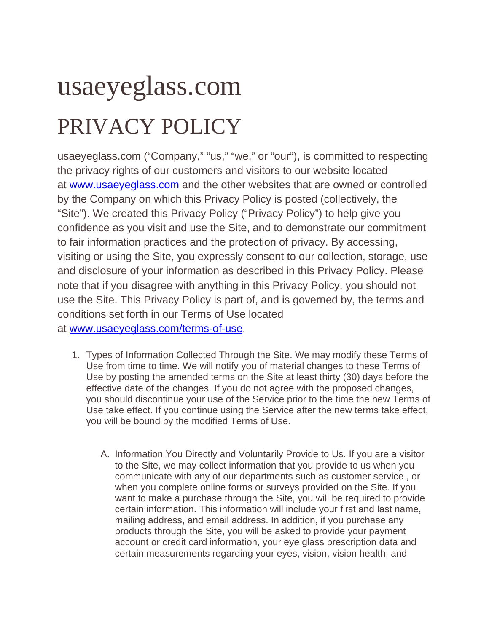## usaeyeglass.com PRIVACY POLICY

usaeyeglass.com ("Company," "us," "we," or "our"), is committed to respecting the privacy rights of our customers and visitors to our website located at [www.usaeyeglass.com](http://www.usaeyeglass.com%C2%A0) and the other websites that are owned or controlled by the Company on which this Privacy Policy is posted (collectively, the "Site"). We created this Privacy Policy ("Privacy Policy") to help give you confidence as you visit and use the Site, and to demonstrate our commitment to fair information practices and the protection of privacy. By accessing, visiting or using the Site, you expressly consent to our collection, storage, use and disclosure of your information as described in this Privacy Policy. Please note that if you disagree with anything in this Privacy Policy, you should not use the Site. This Privacy Policy is part of, and is governed by, the terms and conditions set forth in our Terms of Use located at [www.usaeyeglass.com/terms-of-use.](http://www.usaeyeglass.com/terms-of-use)

1. Types of Information Collected Through the Site. We may modify these Terms of Use from time to time. We will notify you of material changes to these Terms of Use by posting the amended terms on the Site at least thirty (30) days before the effective date of the changes. If you do not agree with the proposed changes, you should discontinue your use of the Service prior to the time the new Terms of Use take effect. If you continue using the Service after the new terms take effect,

you will be bound by the modified Terms of Use.

A. Information You Directly and Voluntarily Provide to Us. If you are a visitor to the Site, we may collect information that you provide to us when you communicate with any of our departments such as customer service , or when you complete online forms or surveys provided on the Site. If you want to make a purchase through the Site, you will be required to provide certain information. This information will include your first and last name, mailing address, and email address. In addition, if you purchase any products through the Site, you will be asked to provide your payment account or credit card information, your eye glass prescription data and certain measurements regarding your eyes, vision, vision health, and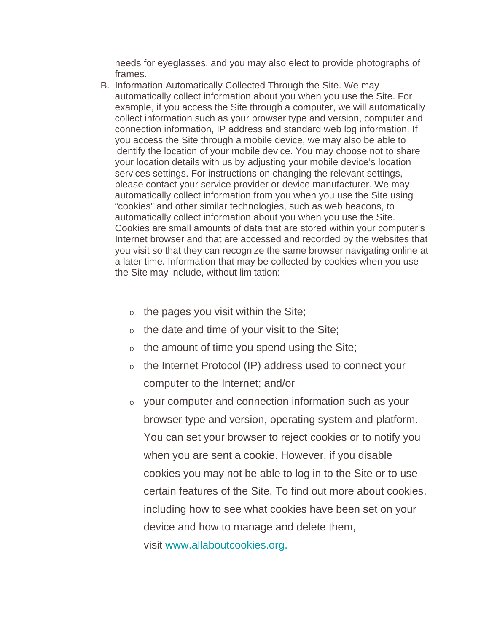needs for eyeglasses, and you may also elect to provide photographs of frames.

- B. Information Automatically Collected Through the Site. We may automatically collect information about you when you use the Site. For example, if you access the Site through a computer, we will automatically collect information such as your browser type and version, computer and connection information, IP address and standard web log information. If you access the Site through a mobile device, we may also be able to identify the location of your mobile device. You may choose not to share your location details with us by adjusting your mobile device's location services settings. For instructions on changing the relevant settings, please contact your service provider or device manufacturer. We may automatically collect information from you when you use the Site using "cookies" and other similar technologies, such as web beacons, to automatically collect information about you when you use the Site. Cookies are small amounts of data that are stored within your computer's Internet browser and that are accessed and recorded by the websites that you visit so that they can recognize the same browser navigating online at a later time. Information that may be collected by cookies when you use the Site may include, without limitation:
	- $\circ$  the pages you visit within the Site;
	- $\circ$  the date and time of your visit to the Site;
	- $\circ$  the amount of time you spend using the Site;
	- <sup>o</sup> the Internet Protocol (IP) address used to connect your computer to the Internet; and/or
	- <sup>o</sup> your computer and connection information such as your browser type and version, operating system and platform. You can set your browser to reject cookies or to notify you when you are sent a cookie. However, if you disable cookies you may not be able to log in to the Site or to use certain features of the Site. To find out more about cookies, including how to see what cookies have been set on your device and how to manage and delete them, visit [www.allaboutcookies.org.](http://www.allaboutcookies.org/)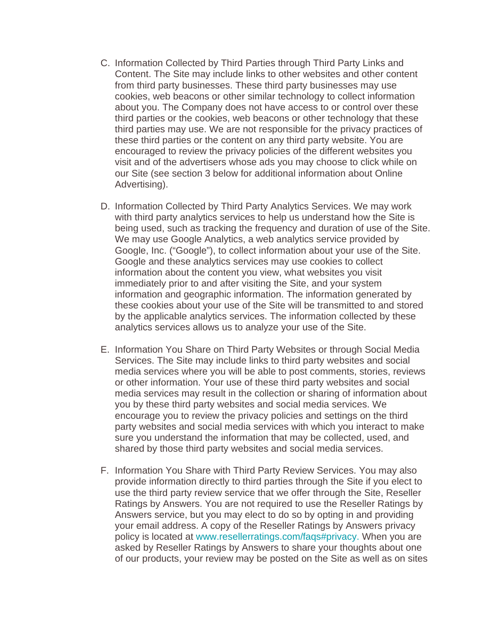- C. Information Collected by Third Parties through Third Party Links and Content. The Site may include links to other websites and other content from third party businesses. These third party businesses may use cookies, web beacons or other similar technology to collect information about you. The Company does not have access to or control over these third parties or the cookies, web beacons or other technology that these third parties may use. We are not responsible for the privacy practices of these third parties or the content on any third party website. You are encouraged to review the privacy policies of the different websites you visit and of the advertisers whose ads you may choose to click while on our Site (see section 3 below for additional information about Online Advertising).
- D. Information Collected by Third Party Analytics Services. We may work with third party analytics services to help us understand how the Site is being used, such as tracking the frequency and duration of use of the Site. We may use Google Analytics, a web analytics service provided by Google, Inc. ("Google"), to collect information about your use of the Site. Google and these analytics services may use cookies to collect information about the content you view, what websites you visit immediately prior to and after visiting the Site, and your system information and geographic information. The information generated by these cookies about your use of the Site will be transmitted to and stored by the applicable analytics services. The information collected by these analytics services allows us to analyze your use of the Site.
- E. Information You Share on Third Party Websites or through Social Media Services. The Site may include links to third party websites and social media services where you will be able to post comments, stories, reviews or other information. Your use of these third party websites and social media services may result in the collection or sharing of information about you by these third party websites and social media services. We encourage you to review the privacy policies and settings on the third party websites and social media services with which you interact to make sure you understand the information that may be collected, used, and shared by those third party websites and social media services.
- F. Information You Share with Third Party Review Services. You may also provide information directly to third parties through the Site if you elect to use the third party review service that we offer through the Site, Reseller Ratings by Answers. You are not required to use the Reseller Ratings by Answers service, but you may elect to do so by opting in and providing your email address. A copy of the Reseller Ratings by Answers privacy policy is located at [www.resellerratings.com/faqs#privacy.](http://www.resellerratings.com/faqs#privacy) When you are asked by Reseller Ratings by Answers to share your thoughts about one of our products, your review may be posted on the Site as well as on sites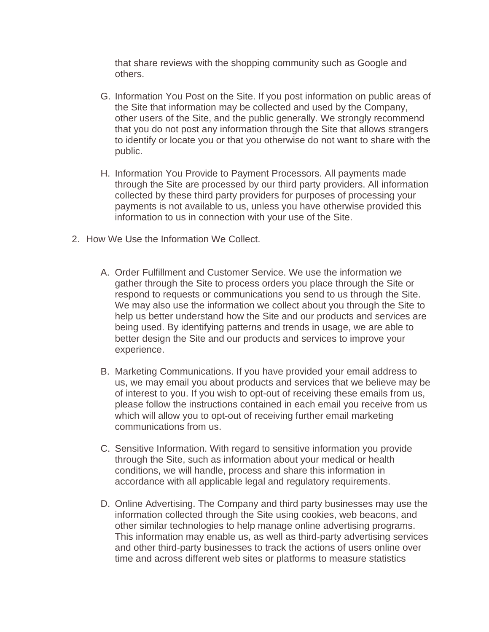that share reviews with the shopping community such as Google and others.

- G. Information You Post on the Site. If you post information on public areas of the Site that information may be collected and used by the Company, other users of the Site, and the public generally. We strongly recommend that you do not post any information through the Site that allows strangers to identify or locate you or that you otherwise do not want to share with the public.
- H. Information You Provide to Payment Processors. All payments made through the Site are processed by our third party providers. All information collected by these third party providers for purposes of processing your payments is not available to us, unless you have otherwise provided this information to us in connection with your use of the Site.
- 2. How We Use the Information We Collect.
	- A. Order Fulfillment and Customer Service. We use the information we gather through the Site to process orders you place through the Site or respond to requests or communications you send to us through the Site. We may also use the information we collect about you through the Site to help us better understand how the Site and our products and services are being used. By identifying patterns and trends in usage, we are able to better design the Site and our products and services to improve your experience.
	- B. Marketing Communications. If you have provided your email address to us, we may email you about products and services that we believe may be of interest to you. If you wish to opt-out of receiving these emails from us, please follow the instructions contained in each email you receive from us which will allow you to opt-out of receiving further email marketing communications from us.
	- C. Sensitive Information. With regard to sensitive information you provide through the Site, such as information about your medical or health conditions, we will handle, process and share this information in accordance with all applicable legal and regulatory requirements.
	- D. Online Advertising. The Company and third party businesses may use the information collected through the Site using cookies, web beacons, and other similar technologies to help manage online advertising programs. This information may enable us, as well as third-party advertising services and other third-party businesses to track the actions of users online over time and across different web sites or platforms to measure statistics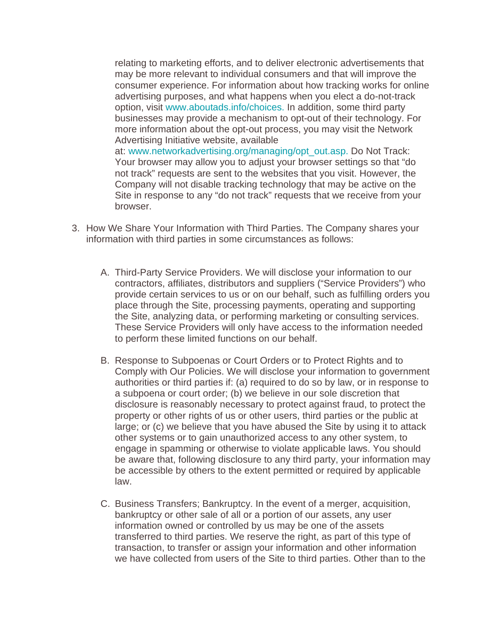relating to marketing efforts, and to deliver electronic advertisements that may be more relevant to individual consumers and that will improve the consumer experience. For information about how tracking works for online advertising purposes, and what happens when you elect a do-not-track option, visit [www.aboutads.info/choices.](http://www.aboutads.info/choices) In addition, some third party businesses may provide a mechanism to opt-out of their technology. For more information about the opt-out process, you may visit the Network Advertising Initiative website, available at: [www.networkadvertising.org/managing/opt\\_out.asp.](http://www.networkadvertising.org/managing/opt_out.asp) Do Not Track: Your browser may allow you to adjust your browser settings so that "do not track" requests are sent to the websites that you visit. However, the Company will not disable tracking technology that may be active on the Site in response to any "do not track" requests that we receive from your browser.

- 3. How We Share Your Information with Third Parties. The Company shares your information with third parties in some circumstances as follows:
	- A. Third-Party Service Providers. We will disclose your information to our contractors, affiliates, distributors and suppliers ("Service Providers") who provide certain services to us or on our behalf, such as fulfilling orders you place through the Site, processing payments, operating and supporting the Site, analyzing data, or performing marketing or consulting services. These Service Providers will only have access to the information needed to perform these limited functions on our behalf.
	- B. Response to Subpoenas or Court Orders or to Protect Rights and to Comply with Our Policies. We will disclose your information to government authorities or third parties if: (a) required to do so by law, or in response to a subpoena or court order; (b) we believe in our sole discretion that disclosure is reasonably necessary to protect against fraud, to protect the property or other rights of us or other users, third parties or the public at large; or (c) we believe that you have abused the Site by using it to attack other systems or to gain unauthorized access to any other system, to engage in spamming or otherwise to violate applicable laws. You should be aware that, following disclosure to any third party, your information may be accessible by others to the extent permitted or required by applicable law.
	- C. Business Transfers; Bankruptcy. In the event of a merger, acquisition, bankruptcy or other sale of all or a portion of our assets, any user information owned or controlled by us may be one of the assets transferred to third parties. We reserve the right, as part of this type of transaction, to transfer or assign your information and other information we have collected from users of the Site to third parties. Other than to the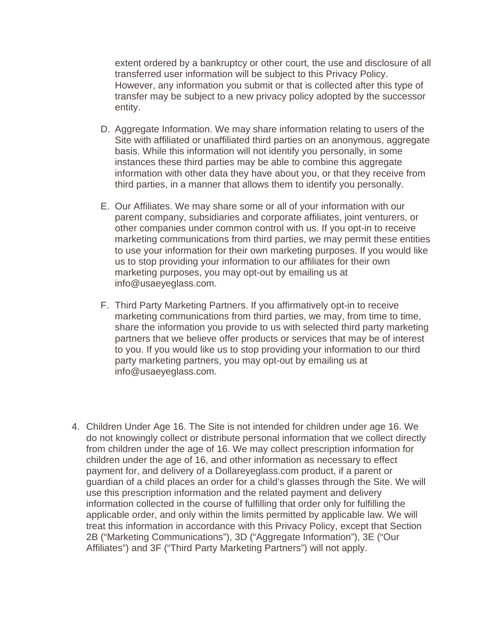extent ordered by a bankruptcy or other court, the use and disclosure of all transferred user information will be subject to this Privacy Policy. However, any information you submit or that is collected after this type of transfer may be subject to a new privacy policy adopted by the successor entity.

- D. Aggregate Information. We may share information relating to users of the Site with affiliated or unaffiliated third parties on an anonymous, aggregate basis. While this information will not identify you personally, in some instances these third parties may be able to combine this aggregate information with other data they have about you, or that they receive from third parties, in a manner that allows them to identify you personally.
- E. Our Affiliates. We may share some or all of your information with our parent company, subsidiaries and corporate affiliates, joint venturers, or other companies under common control with us. If you opt-in to receive marketing communications from third parties, we may permit these entities to use your information for their own marketing purposes. If you would like us to stop providing your information to our affiliates for their own marketing purposes, you may opt-out by emailing us at info@usaeyeglass.com.
- F. Third Party Marketing Partners. If you affirmatively opt-in to receive marketing communications from third parties, we may, from time to time, share the information you provide to us with selected third party marketing partners that we believe offer products or services that may be of interest to you. If you would like us to stop providing your information to our third party marketing partners, you may opt-out by emailing us at info@usaeyeglass.com.
- 4. Children Under Age 16. The Site is not intended for children under age 16. We do not knowingly collect or distribute personal information that we collect directly from children under the age of 16. We may collect prescription information for children under the age of 16, and other information as necessary to effect payment for, and delivery of a Dollareyeglass.com product, if a parent or guardian of a child places an order for a child's glasses through the Site. We will use this prescription information and the related payment and delivery information collected in the course of fulfilling that order only for fulfilling the applicable order, and only within the limits permitted by applicable law. We will treat this information in accordance with this Privacy Policy, except that Section 2B ("Marketing Communications"), 3D ("Aggregate Information"), 3E ("Our Affiliates") and 3F ("Third Party Marketing Partners") will not apply.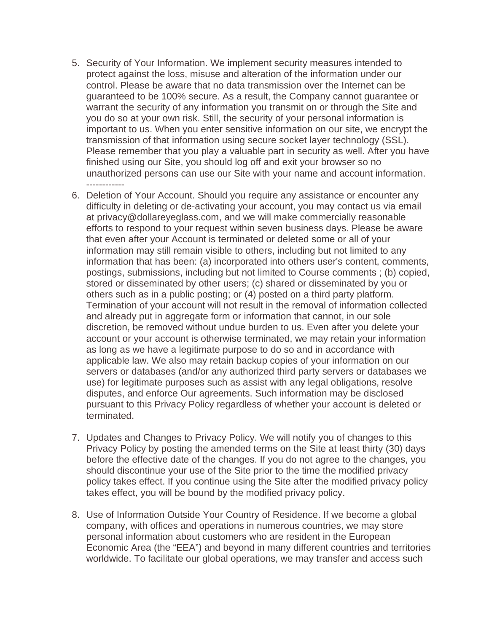- 5. Security of Your Information. We implement security measures intended to protect against the loss, misuse and alteration of the information under our control. Please be aware that no data transmission over the Internet can be guaranteed to be 100% secure. As a result, the Company cannot guarantee or warrant the security of any information you transmit on or through the Site and you do so at your own risk. Still, the security of your personal information is important to us. When you enter sensitive information on our site, we encrypt the transmission of that information using secure socket layer technology (SSL). Please remember that you play a valuable part in security as well. After you have finished using our Site, you should log off and exit your browser so no unauthorized persons can use our Site with your name and account information. ------------
- 6. Deletion of Your Account. Should you require any assistance or encounter any difficulty in deleting or de-activating your account, you may contact us via email at privacy@dollareyeglass.com, and we will make commercially reasonable efforts to respond to your request within seven business days. Please be aware that even after your Account is terminated or deleted some or all of your information may still remain visible to others, including but not limited to any information that has been: (a) incorporated into others user's content, comments, postings, submissions, including but not limited to Course comments ; (b) copied, stored or disseminated by other users; (c) shared or disseminated by you or others such as in a public posting; or (4) posted on a third party platform. Termination of your account will not result in the removal of information collected and already put in aggregate form or information that cannot, in our sole discretion, be removed without undue burden to us. Even after you delete your account or your account is otherwise terminated, we may retain your information as long as we have a legitimate purpose to do so and in accordance with applicable law. We also may retain backup copies of your information on our servers or databases (and/or any authorized third party servers or databases we use) for legitimate purposes such as assist with any legal obligations, resolve disputes, and enforce Our agreements. Such information may be disclosed pursuant to this Privacy Policy regardless of whether your account is deleted or terminated.
- 7. Updates and Changes to Privacy Policy. We will notify you of changes to this Privacy Policy by posting the amended terms on the Site at least thirty (30) days before the effective date of the changes. If you do not agree to the changes, you should discontinue your use of the Site prior to the time the modified privacy policy takes effect. If you continue using the Site after the modified privacy policy takes effect, you will be bound by the modified privacy policy.
- 8. Use of Information Outside Your Country of Residence. If we become a global company, with offices and operations in numerous countries, we may store personal information about customers who are resident in the European Economic Area (the "EEA") and beyond in many different countries and territories worldwide. To facilitate our global operations, we may transfer and access such